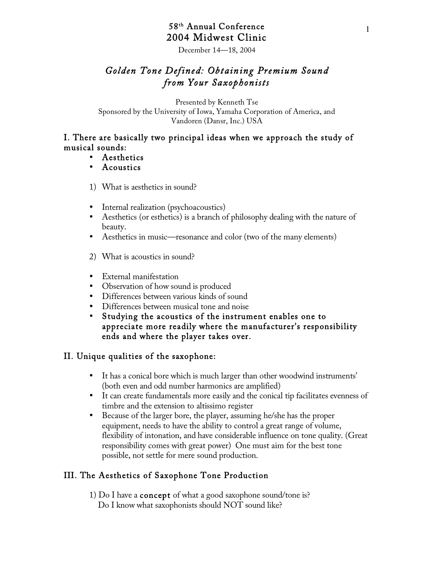# 58th Annual Conference 2004 Midwest Clinic

December 14—18, 2004

# *Golden Tone Defined: Obtaining Premium Sound from Your Saxophonists*

Presented by Kenneth Tse Sponsored by the University of Iowa, Yamaha Corporation of America, and Vandoren (Dansr, Inc.) USA

# I. There are basically two principal ideas when we approach the study of musical sounds:

- Aesthetics
- Acoustics
- 1) What is aesthetics in sound?
- Internal realization (psychoacoustics)
- Aesthetics (or esthetics) is a branch of philosophy dealing with the nature of beauty.
- Aesthetics in music—resonance and color (two of the many elements)
- 2) What is acoustics in sound?
- External manifestation
- Observation of how sound is produced
- Differences between various kinds of sound
- Differences between musical tone and noise
- Studying the acoustics of the instrument enables one to appreciate more readily where the manufacturer's responsibility ends and where the player takes over.

# II. Unique qualities of the saxophone:

- It has a conical bore which is much larger than other woodwind instruments' (both even and odd number harmonics are amplified)
- It can create fundamentals more easily and the conical tip facilitates evenness of timbre and the extension to altissimo register
- Because of the larger bore, the player, assuming he/she has the proper equipment, needs to have the ability to control a great range of volume, flexibility of intonation, and have considerable influence on tone quality. (Great responsibility comes with great power) One must aim for the best tone possible, not settle for mere sound production.

# III. The Aesthetics of Saxophone Tone Production

1) Do I have a concept of what a good saxophone sound/tone is? Do I know what saxophonists should NOT sound like?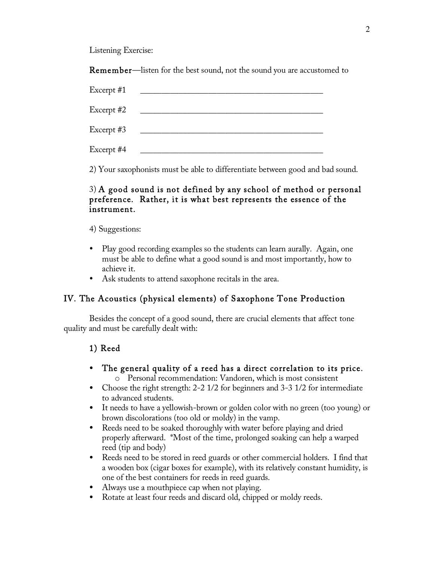Listening Exercise:

Remember—listen for the best sound, not the sound you are accustomed to

| Excerpt #1 |  |
|------------|--|
| Excerpt #2 |  |
| Excerpt #3 |  |
| Excerpt #4 |  |

2) Your saxophonists must be able to differentiate between good and bad sound.

# 3) A good sound is not defined by any school of method or personal preference. Rather, it is what best represents the essence of the instrument.

4) Suggestions:

- Play good recording examples so the students can learn aurally. Again, one must be able to define what a good sound is and most importantly, how to achieve it.
- Ask students to attend saxophone recitals in the area.

# IV. The Acoustics (physical elements) of Saxophone Tone Production

Besides the concept of a good sound, there are crucial elements that affect tone quality and must be carefully dealt with:

# 1) Reed

- The general quality of a reed has a direct correlation to its price. o Personal recommendation: Vandoren, which is most consistent
- Choose the right strength: 2-2 1/2 for beginners and 3-3 1/2 for intermediate to advanced students.
- It needs to have a yellowish-brown or golden color with no green (too young) or brown discolorations (too old or moldy) in the vamp.
- Reeds need to be soaked thoroughly with water before playing and dried properly afterward. \*Most of the time, prolonged soaking can help a warped reed (tip and body)
- Reeds need to be stored in reed guards or other commercial holders. I find that a wooden box (cigar boxes for example), with its relatively constant humidity, is one of the best containers for reeds in reed guards.
- Always use a mouthpiece cap when not playing.
- Rotate at least four reeds and discard old, chipped or moldy reeds.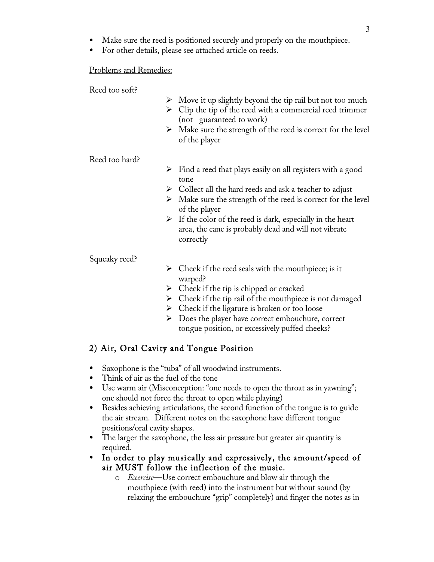- Make sure the reed is positioned securely and properly on the mouthpiece.
- For other details, please see attached article on reeds.

## Problems and Remedies:

Reed too soft?

- $\triangleright$  Move it up slightly beyond the tip rail but not too much
- $\triangleright$  Clip the tip of the reed with a commercial reed trimmer (not guaranteed to work)
- $\triangleright$  Make sure the strength of the reed is correct for the level of the player

Reed too hard?

- $\triangleright$  Find a reed that plays easily on all registers with a good tone
- $\triangleright$  Collect all the hard reeds and ask a teacher to adjust
- $\triangleright$  Make sure the strength of the reed is correct for the level of the player
- $\triangleright$  If the color of the reed is dark, especially in the heart area, the cane is probably dead and will not vibrate correctly

Squeaky reed?

- $\triangleright$  Check if the reed seals with the mouthpiece; is it warped?
- $\triangleright$  Check if the tip is chipped or cracked
- $\triangleright$  Check if the tip rail of the mouthpiece is not damaged
- $\triangleright$  Check if the ligature is broken or too loose
- $\triangleright$  Does the player have correct embouchure, correct tongue position, or excessively puffed cheeks?

# 2) Air, Oral Cavity and Tongue Position

- Saxophone is the "tuba" of all woodwind instruments.
- Think of air as the fuel of the tone
- Use warm air (Misconception: "one needs to open the throat as in yawning"; one should not force the throat to open while playing)
- Besides achieving articulations, the second function of the tongue is to guide the air stream. Different notes on the saxophone have different tongue positions/oral cavity shapes.
- The larger the saxophone, the less air pressure but greater air quantity is required.
- In order to play musically and expressively, the amount/speed of air MUST follow the inflection of the music.
	- o *Exercise*—Use correct embouchure and blow air through the mouthpiece (with reed) into the instrument but without sound (by relaxing the embouchure "grip" completely) and finger the notes as in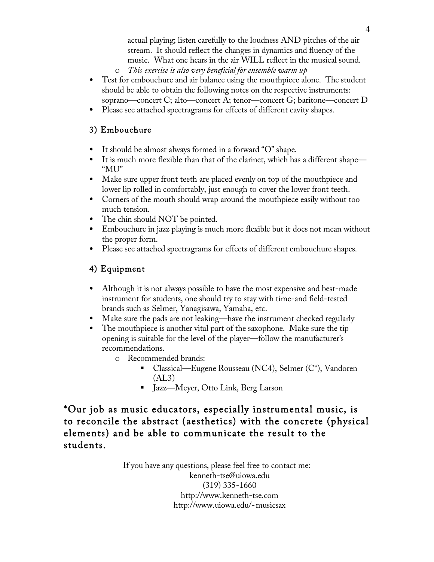actual playing; listen carefully to the loudness AND pitches of the air stream. It should reflect the changes in dynamics and fluency of the music. What one hears in the air WILL reflect in the musical sound.

- o *This exercise is also very beneficial for ensemble warm up*
- Test for embouchure and air balance using the mouthpiece alone. The student should be able to obtain the following notes on the respective instruments: soprano—concert C; alto—concert A; tenor—concert G; baritone—concert D
- Please see attached spectragrams for effects of different cavity shapes.

# 3) Embouchure

- It should be almost always formed in a forward "O" shape.
- It is much more flexible than that of the clarinet, which has a different shape— "MU"
- Make sure upper front teeth are placed evenly on top of the mouthpiece and lower lip rolled in comfortably, just enough to cover the lower front teeth.
- Corners of the mouth should wrap around the mouthpiece easily without too much tension.
- The chin should NOT be pointed.
- Embouchure in jazz playing is much more flexible but it does not mean without the proper form.
- Please see attached spectragrams for effects of different embouchure shapes.

# 4) Equipment

- Although it is not always possible to have the most expensive and best-made instrument for students, one should try to stay with time-and field-tested brands such as Selmer, Yanagisawa, Yamaha, etc.
- Make sure the pads are not leaking—have the instrument checked regularly
- The mouthpiece is another vital part of the saxophone. Make sure the tip opening is suitable for the level of the player—follow the manufacturer's recommendations.
	- o Recommended brands:
		- Classical—Eugene Rousseau (NC4), Selmer (C\*), Vandoren  $(AL3)$
		- Jazz—Meyer, Otto Link, Berg Larson

\*Our job as music educators, especially instrumental music, is to reconcile the abstract (aesthetics) with the concrete (physical elements) and be able to communicate the result to the students.

> If you have any questions, please feel free to contact me: kenneth-tse@uiowa.edu (319) 335-1660 http://www.kenneth-tse.com http://www.uiowa.edu/~musicsax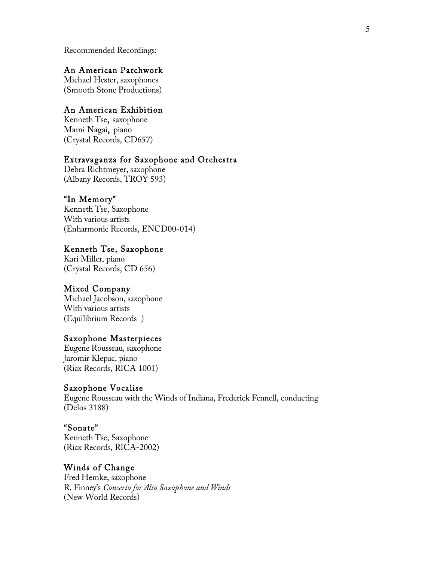Recommended Recordings:

# An American Patchwork

Michael Hester, saxophones (Smooth Stone Productions)

# An American Exhibition

Kenneth Tse, saxophone Mami Nagai, piano (Crystal Records, CD657)

# Extravaganza for Saxophone and Orchestra

Debra Richtmeyer, saxophone (Albany Records, TROY 593)

## "In Memory"

Kenneth Tse, Saxophone With various artists (Enharmonic Records, ENCD00-014)

## Kenneth Tse, Saxophone

Kari Miller, piano (Crystal Records, CD 656)

# Mixed Company

Michael Jacobson, saxophone With various artists (Equilibrium Records )

# Saxophone Masterpieces

Eugene Rousseau, saxophone Jaromir Klepac, piano (Riax Records, RICA 1001)

## Saxophone Vocalise

Eugene Rousseau with the Winds of Indiana, Frederick Fennell, conducting (Delos 3188)

## "Sonate"

Kenneth Tse, Saxophone (Riax Records, RICA-2002)

# Winds of Change

Fred Hemke, saxophone R. Finney's *Concerto for Alto Saxophone and Winds* (New World Records)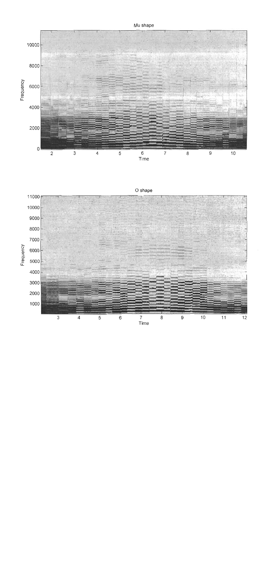# Mu shape



O shape

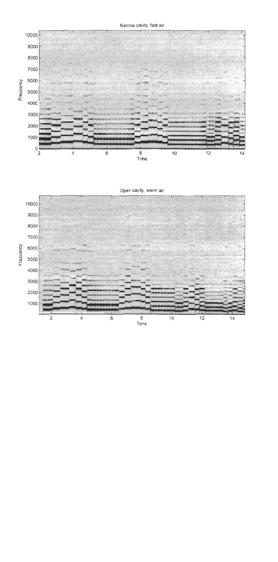Narrow cavity, fast air



Open cavity, warm air

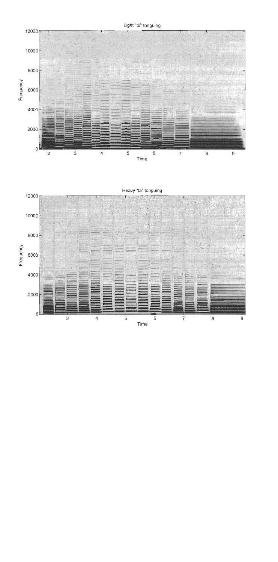Light "tu" tonguing



Heavy "ta" tonguing

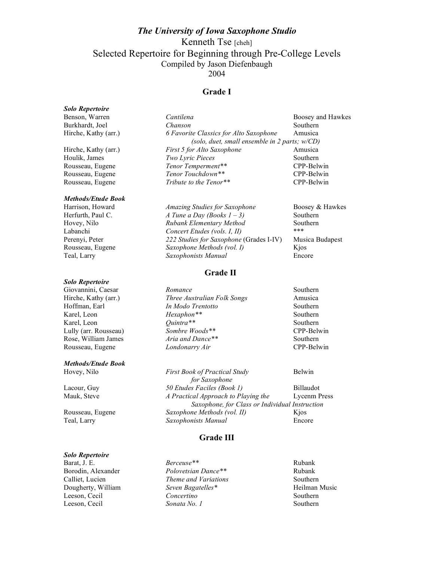# *The University of Iowa Saxophone Studio* Kenneth Tse [cheh] Selected Repertoire for Beginning through Pre-College Levels Compiled by Jason Diefenbaugh 2004

## **Grade I**

## *Solo Repertoire*

## *Methods/Etude Book*

#### *Solo Repertoire*

#### *Methods/Etude Book*

Benson, Warren *Cantilena* Cantilena Boosey and Hawkes Burkhardt, Joel *Chanson* Southern Hirche, Kathy (arr.) *6 Favorite Classics for Alto Saxophone* Amusica *(solo, duet, small ensemble in 2 parts; w/CD)* Hirche, Kathy (arr.) *First 5 for Alto Saxophone* Amusica *Houlik, James <i>Two Lyric Pieces* Southern Rousseau, Eugene *Tenor Temperment*<sup>\*\*</sup> CPP-Belv Rousseau, Eugene *Tenor Temperment\*\** CPP-Belwin Rousseau, Eugene *Tenor Touchdown\*\** CPP-Belwin Rousseau, Eugene *Tribute to the Tenor\*\** CPP-Belwin

| Harrison, Howard  | <b>Amazing Studies for Saxophone</b>    | Boosey & Hawkes |
|-------------------|-----------------------------------------|-----------------|
| Herfurth, Paul C. | A Tune a Day (Books $1 - 3$ )           | Southern        |
| Hovey, Nilo       | Rubank Elementary Method                | Southern        |
| Labanchi          | Concert Etudes (vols. I, II)            | ***             |
| Perenyi, Peter    | 222 Studies for Saxophone (Grades I-IV) | Musica Budapest |
| Rousseau, Eugene  | Saxophone Methods (vol. I)              | Kios            |
| Teal, Larry       | Saxophonists Manual                     | Encore          |

## **Grade II**

Giovannini, Caesar *Romance* Southern Hirche, Kathy (arr.) *Three Australian Folk Songs* Amusica Hoffman, Earl *In Modo Trentotto* Southern Karel, Leon *Hexaphon\*\** Southern Karel, Leon *Quintra\*\** Southern **Called Southern** *Cuintra\*\** Southern *CPP-Belv CPP-Belv CPP-Belv* Lully (arr. Rousseau) *Sombre Woods\*\** CPP-Belwin Rose, William James *Aria and Dance\*\** Southern Rousseau, Eugene *Londonarry Air* CPP-Belwin

Hovey, Nilo *First Book of Practical Study* Belwin *for Saxophone* Lacour, Guy *50 Etudes Faciles (Book 1)* Billaudot Mauk, Steve *A Practical Approach to Playing the* Lycenm Press *Saxophone, for Class or Individual Instruction* Rousseau, Eugene *Saxophone Methods (vol. II)* Kjos Teal, Larry *Saxophonists Manual* Encore

## **Grade III**

*Solo Repertoire* Barat, J. E. *Berceuse\*\** Rubank

Borodin, Alexander *Polovetsian Dance\*\** Rubank Calliet, Lucien *Theme and Variations* Southern Dougherty, William *Seven Bagatelles\** Heilman Music Leeson, Cecil *Concertino* Southern Leeson, Cecil *Sonata No. 1* Southern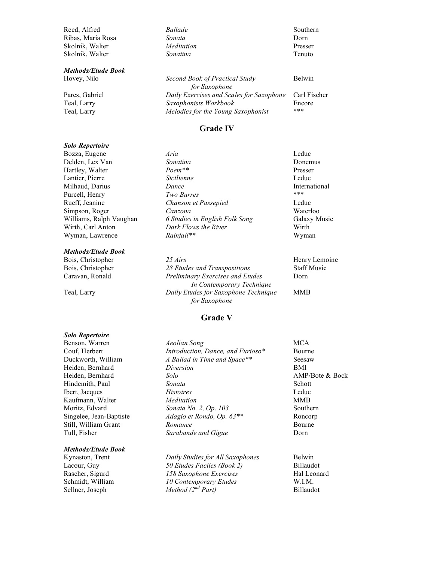Reed, Alfred *Ballade Ballade* Southern Ribas, Maria Rosa *Sonata* Dorn Skolnik, Walter *Meditation* Presser Skolnik, Walter *Sonatina Sonatina* **Tenuto** *Tenuto* 

#### *Methods/Etude Book*

#### *Solo Repertoire*

#### *Methods/Etude Book*

Hovey, Nilo *Second Book of Practical Study* Belwin *for Saxophone* Pares, Gabriel *Daily Exercises and Scales for Saxophone* Carl Fischer Teal, Larry *Saxophonists Workbook* Encore Teal, Larry *Melodies for the Young Saxophonist* \*\*\*

## **Grade IV**

Bozza, Eugene *Aria* Leduc Delden, Lex Van *Sonatina Sonatina* **Donemus Donemus** Hartley, Walter *Poem\*\** Presser Lantier, Pierre *Sicilienne* Leduc Milhaud, Darius *Dance* International Purcell, Henry *Two Burres* \*\*\* Rueff, Jeanine *Chanson et Passepied* Leduc Simpson, Roger *Canzona Canzona Waterloo*<br>Williams, Ralph Vaughan *6 Studies in English Folk Song* Galaxy M Williams, Ralph Vaughan *6 Studies in English Folk Song* Galaxy Music Wirth, Carl Anton *Dark Flows the River* Wirth Wyman, Lawrence *Rainfall*\*\* Wyman

Bois, Christopher *25 Airs* Henry Lemoine Bois, Christopher *28 Etudes and Transpositions* Staff Music Caravan, Ronald *Preliminary Exercises and Etudes* Dorn *In Contemporary Technique* Teal, Larry *Daily Etudes for Saxophone Technique* MMB *for Saxophone*

## **Grade V**

#### *Solo Repertoire*

#### *Methods/Etude Book*

Benson, Warren *Aeolian Song* MCA Couf, Herbert *Introduction, Dance, and Furioso\** Bourne Duckworth, William *A Ballad in Time and Space\*\** Seesaw Heiden, Bernhard *Diversion* BMI Heiden, Bernhard *Solo* AMP/Bote & Bock Hindemith, Paul *Sonata Sonata* Schott Ibert, Jacques *Histoires* Leduc Kaufmann, Walter *Meditation* MMB Moritz, Edvard *Sonata No. 2, Op. 103* Southern Singelee, Jean-Baptiste *Adagio et Rondo, Op. 63\*\** Roncorp Still, William Grant *Romance* Bourne **Bourne** Tull, Fisher *Sarabande and Gigue* Dorn

Kynaston, Trent *Daily Studies for All Saxophones* Belwin Lacour, Guy *50 Etudes Faciles (Book 2)* Billaudot Rascher, Sigurd *158 Saxophone Exercises* Hal Leonard Schmidt, William *10 Contemporary Etudes* W.I.M. Sellner, Joseph *Method (2nd Part)* Billaudot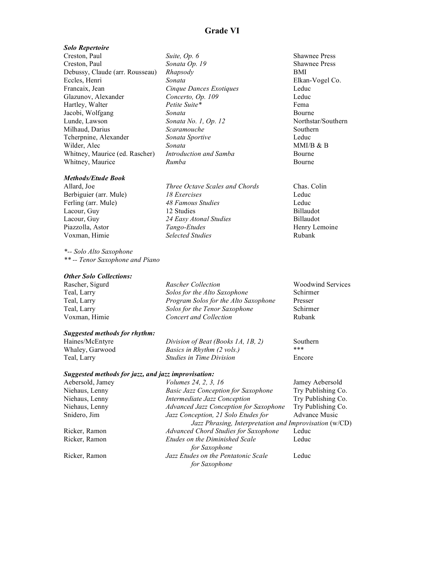#### *Solo Repertoire*

Creston, Paul *Suite, Op. 6* Shawnee Press Creston, Paul *Sonata Op. 19* Shawnee Press Debussy, Claude (arr. Rousseau) *Rhapsody* BMI Eccles, Henri *Sonata* Elkan-Vogel Co. Francaix, Jean *Cinque Dances Exotiques* Leduc Glazunov, Alexander *Concerto, Op. 109* Leduc Hartley, Walter *Petite Suite\** Fema Jacobi, Wolfgang *Sonata Sonata Sonata Bourne Bourne Bourne Bourne Sonata No. 1, Op. 12 Northstar/Southern* Lunde, Lawson *Sonata No. 1, Op. 12* Milhaud, Darius *Scaramouche* Southern Tcherpnine, Alexander *Sonata Sportive* Leduc Wilder, Alec *Sonata Sonata* **MMI/B & B** Whitney, Maurice (ed. Rascher) *Introduction and Samba* Bourne Whitney, Maurice *Rumba Rumba* Bourne

#### *Methods/Etude Book*

*\*-- Solo Alto Saxophone \*\* -- Tenor Saxophone and Piano*

#### *Other Solo Collections:*

Allard, Joe *Three Octave Scales and Chords* Chas. Colin

Berbiguier (arr. Mule) *18 Exercises* Leduc Ferling (arr. Mule) *48 Famous Studies* Leduc Lacour, Guy 12 Studies Billaudot Lacour, Guy *24 Easy Atonal Studies* Billaudot Piazzolla, Astor *Tango-Etudes* Henry Lemoine Voxman, Himie *Selected Studies* Rubank

| Rascher, Sigurd | <b>Rascher Collection</b>            | <b>Woodwind Services</b> |
|-----------------|--------------------------------------|--------------------------|
| Teal, Larry     | Solos for the Alto Saxophone         | Schirmer                 |
| Teal, Larry     | Program Solos for the Alto Saxophone | Presser                  |
| Teal, Larry     | Solos for the Tenor Saxophone        | Schirmer                 |
| Voxman, Himie   | Concert and Collection               | Rubank                   |
|                 |                                      |                          |

#### *Suggested methods for rhythm:*

Haines/McEntyre *Division of Beat (Books 1A, 1B, 2)* Southern<br>Whaley Garwood *Basics in Rhythm (2 yols*) \*\*\* Whaley, Garwood *Basics in Rhythm (2 vols.)* \*\*\* Teal, Larry *Studies in Time Division* Encore

## *Suggested methods for jazz, and jazz improvisation:*

| Aebersold, Jamey | Volumes 24, 2, 3, 16                                   | Jamey Aebersold      |
|------------------|--------------------------------------------------------|----------------------|
| Niehaus, Lenny   | <b>Basic Jazz Conception for Saxophone</b>             | Try Publishing Co.   |
| Niehaus, Lenny   | Intermediate Jazz Conception                           | Try Publishing Co.   |
| Niehaus, Lenny   | Advanced Jazz Conception for Saxophone                 | Try Publishing Co.   |
| Snidero, Jim     | Jazz Conception, 21 Solo Etudes for                    | <b>Advance Music</b> |
|                  | Jazz Phrasing, Interpretation and Improvisation (w/CD) |                      |
| Ricker, Ramon    | <b>Advanced Chord Studies for Saxophone</b>            | Leduc                |
| Ricker, Ramon    | Etudes on the Diminished Scale<br>for Saxophone        | Leduc                |
| Ricker, Ramon    | Jazz Etudes on the Pentatonic Scale<br>for Saxophone   | Leduc                |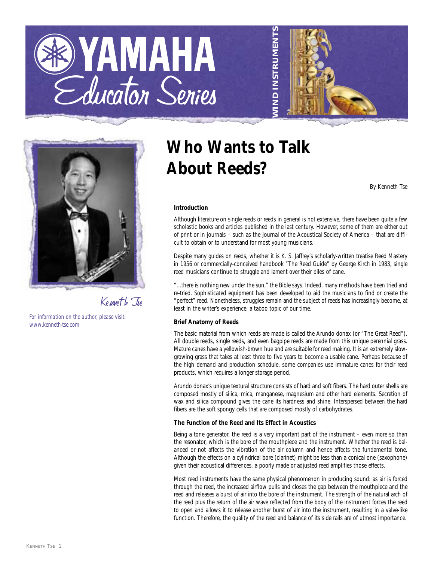





Kenneth Tse

*For information on the author, please visit: www.kenneth-tse.com*

# **Who Wants to Talk About Reeds?**

*By Kenneth Tse*

### **Introduction**

Although literature on single reeds or reeds in general is not extensive, there have been quite a few scholastic books and articles published in the last century. However, some of them are either out of print or in journals – such as the Journal of the Acoustical Society of America – that are difficult to obtain or to understand for most young musicians.

Despite many guides on reeds, whether it is K. S. Jaffrey's scholarly-written treatise Reed Mastery in 1956 or commercially-conceived handbook "The Reed Guide" by George Kirch in 1983, single reed musicians continue to struggle and lament over their piles of cane.

"...there is nothing new under the sun," the Bible says. Indeed, many methods have been tried and re-tried. Sophisticated equipment has been developed to aid the musicians to find or create the "perfect" reed. Nonetheless, struggles remain and the subject of reeds has increasingly become, at least in the writer's experience, a taboo topic of our time.

#### **Brief Anatomy of Reeds**

The basic material from which reeds are made is called the Arundo donax (or "The Great Reed"). All double reeds, single reeds, and even bagpipe reeds are made from this unique perennial grass. Mature canes have a yellowish-brown hue and are suitable for reed making. It is an extremely slowgrowing grass that takes at least three to five years to become a usable cane. Perhaps because of the high demand and production schedule, some companies use immature canes for their reed products, which requires a longer storage period.

Arundo donax's unique textural structure consists of hard and soft fibers. The hard outer shells are composed mostly of silica, mica, manganese, magnesium and other hard elements. Secretion of wax and silica compound gives the cane its hardness and shine. Interspersed between the hard fibers are the soft spongy cells that are composed mostly of carbohydrates.

#### **The Function of the Reed and Its Effect in Acoustics**

Being a tone generator, the reed is a very important part of the instrument – even more so than the resonator, which is the bore of the mouthpiece and the instrument. Whether the reed is balanced or not affects the vibration of the air column and hence affects the fundamental tone. Although the effects on a cylindrical bore (clarinet) might be less than a conical one (saxophone) given their acoustical differences, a poorly made or adjusted reed amplifies those effects.

Most reed instruments have the same physical phenomenon in producing sound: as air is forced through the reed, the increased airflow pulls and closes the gap between the mouthpiece and the reed and releases a burst of air into the bore of the instrument. The strength of the natural arch of the reed plus the return of the air wave reflected from the body of the instrument forces the reed to open and allows it to release another burst of air into the instrument, resulting in a valve-like function. Therefore, the quality of the reed and balance of its side rails are of utmost importance.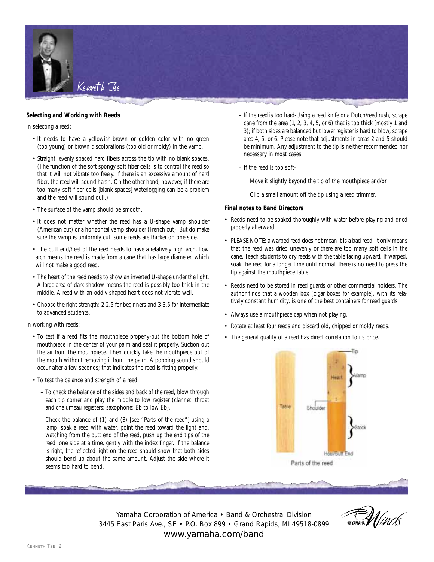

#### **Selecting and Working with Reeds**

In selecting a reed:

- It needs to have a yellowish-brown or golden color with no green (too young) or brown discolorations (too old or moldy) in the vamp.
- Straight, evenly spaced hard fibers across the tip with no blank spaces. (The function of the soft spongy soft fiber cells is to control the reed so that it will not vibrate too freely. If there is an excessive amount of hard fiber, the reed will sound harsh. On the other hand, however, if there are too many soft fiber cells [blank spaces] waterlogging can be a problem and the reed will sound dull.)
- The surface of the vamp should be smooth.
- It does not matter whether the reed has a U-shape vamp shoulder (American cut) or a horizontal vamp shoulder (French cut). But do make sure the vamp is uniformly cut; some reeds are thicker on one side.
- The butt end/heel of the reed needs to have a relatively high arch. Low arch means the reed is made from a cane that has large diameter, which will not make a good reed.
- The heart of the reed needs to show an inverted U-shape under the light. A large area of dark shadow means the reed is possibly too thick in the middle. A reed with an oddly shaped heart does not vibrate well.
- Choose the right strength: 2-2.5 for beginners and 3-3.5 for intermediate to advanced students.

In working with reeds:

- To test if a reed fits the mouthpiece properly-put the bottom hole of mouthpiece in the center of your palm and seal it properly. Suction out the air from the mouthpiece. Then quickly take the mouthpiece out of the mouth without removing it from the palm. A popping sound should occur after a few seconds; that indicates the reed is fitting properly.
- To test the balance and strength of a reed:
	- To check the balance of the sides and back of the reed, blow through each tip corner and play the middle to low register (clarinet: throat and chalumeau registers; saxophone: Bb to low Bb).
	- Check the balance of (1) and (3) [see "Parts of the reed"] using a lamp: soak a reed with water, point the reed toward the light and, watching from the butt end of the reed, push up the end tips of the reed, one side at a time, gently with the index finger. If the balance is right, the reflected light on the reed should show that both sides should bend up about the same amount. Adjust the side where it seems too hard to bend.
- If the reed is too hard-Using a reed knife or a Dutch/reed rush, scrape cane from the area (1, 2, 3, 4, 5, or 6) that is too thick (mostly 1 and 3); if both sides are balanced but lower register is hard to blow, scrape area 4, 5, or 6. Please note that adjustments in areas 2 and 5 should be minimum. Any adjustment to the tip is neither recommended nor necessary in most cases.
- If the reed is too soft-

Move it slightly beyond the tip of the mouthpiece and/or

Clip a small amount off the tip using a reed trimmer.

#### **Final notes to Band Directors**

- Reeds need to be soaked thoroughly with water before playing and dried properly afterward.
- PLEASE NOTE: a warped reed does not mean it is a bad reed. It only means that the reed was dried unevenly or there are too many soft cells in the cane. Teach students to dry reeds with the table facing upward. If warped, soak the reed for a longer time until normal; there is no need to press the tip against the mouthpiece table.
- Reeds need to be stored in reed guards or other commercial holders. The author finds that a wooden box (cigar boxes for example), with its relatively constant humidity, is one of the best containers for reed guards.
- Always use a mouthpiece cap when not playing.
- Rotate at least four reeds and discard old, chipped or moldy reeds.
- The general quality of a reed has direct correlation to its price.



Yamaha Corporation of America • Band & Orchestral Division 3445 East Paris Ave., SE • P.O. Box 899 • Grand Rapids, MI 49518-0899 www.yamaha.com/band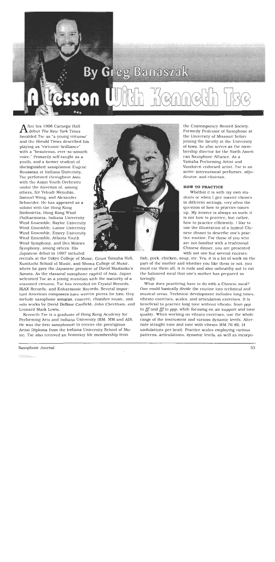

fter his 1996 Carnegie Hall  $\blacksquare$  debut The New York Times heralded Tse as "a young virtuoso" and the Herald Times described his playing as "virtuosic brilliance" with a "beauteous, ever-so-smooth voice." Primarily self-taught as a youth, and a former student of distinguished saxophonist Eugene Rousseau at Indiana University, Tse performed throughout Asia with the Asian Youth Orchestra under the direction of, among others, Sir Yehudi Menuhin, Samuel Wong, and Alexander Schneider. He has appeared as a soloist with the Hong Kong Sinfonictta, Hong Kong Wind Philharmonia, Indiana University Wind Ensemble, Baylor University Wind Ensemble, Lamar University Wind Ensemble, Emory University Wind Ensemble, Atlanta Youth Wind Symphony, and Des Moines Symphony, among others, His Japanese debut in 1997 included

recitals at the Tokyo College of Music, Ginza Yamaha Hall, Kunitachi School of Music, and Showa College of Music, where he gave the Japanese premiere of David Maslanka's Sonata. As the classical saxophone capital of Asia, Japan weleomed Tse as a young musician with the maturity of a seasoned virtuoso. Tse has recorded on Crystal Records, RIAX Records, and Enharmonic Records. Several important American composers have written pieces for him: they include saxophone sonatas, concerti, chamber music, and solo works by David DeBoor Canfield, John Cheetham, and Leonard Mark Lewis.

Kenneth Tse Is a graduate of Hong Kong Academy for Performing Arts and Indiana University (BM, MM and AD). He was the first saxophonist to receive the prestigious Artist Diploma from the Indiana University School of Music. Tse also received an honorary life membership from



the Contemporary Record Society. Formerly Professor of Saxophone at the University of Missouri before joining the faculty at the University of lowa, he also serves as the membership director for the North American Saxophone Alliance. As a Yamaha Performing Artist and Vandoren endorsed artist. Tse is an active international performer, adjudieator, and elinician.

#### **HOW TO PRACTICE**

Whether it is with my own students or when I give master classes in different settings, very often the question of how to practice comes up. My answer is always as such: it is not how to practice, but rather, how to practice efficiently. I like to use the illustration of a typical Chinese dinner to describe one's practice routine. For those of you who are not familiar with a traditional Cbinese dinner, you are presented with not one but several courses:

fish, pork, chicken, soup, etc. Yes, it is a lot of work on the part of the mother and whether you like them or not, you must eat them all. It is rude and also unhealthy not to eat the balanced meal that one's mother has prepared so lovingly.

What does praeticing have to do with a Chinese meal? One could basically divide the routine into technical and musical areas. Technical development includes long tones, vibrato exercises, scales, and articulation exercises. It is beneficial to practice long tone without vibrato, from ppp to fff and fff to ppp, while focusing on air support and tone quality. When working on vibrato exercises, use the whole range of the instrument and various dynamic levels. Alternate straight tone and tone with vibrato MM 76-82. (4 undulations per beat). Practice scales employing various patterns, articulations, dynamic levels, as well as incorpo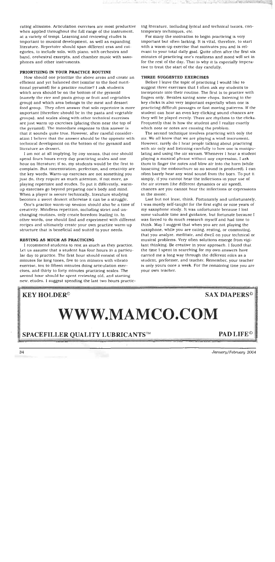rating altissimo. Articulation exercises are most productive when applied throughout the full range of the instrument. at a variety of tempi. Learning and reviewing etudes is important to musical development, as well as expanding literature. Repertoire should span different eras and categories, to include solo, with piano, with orchestra and band, orehestral exeerpts, and chamber music with saxophones and other instruments.

#### PRIORTIZING IN YOUR PRACTICE ROUTINE

How should one prioritize the above areas and create an efficient and yet balanced diet (similar to the food nutritional pyramid) for a practice routine? I ask students which area should be on the bottom of the pyramid (namely the rice and pasta group or fruit and vegetables group) and which area belongs to the meat and dessert food group. They often answer that solo repertoire is more important (therefore should be in the pasta and vegetable groups), and scales along with other technical exercises are just warm up exercises (placing them near the top of the pyramid). The immediate response to this answer is that it sounds quite true. However, after careful consideration I believe that the answer should be the opposite with technical development on the bottom of the pyramid and literature as dessert,

I am not at all implying, by any means, that one should spend fours hours every day practicing scales and one hour on literature; if so, my students would be the first to complain. But concentration, perfection, and creativity are the key words. Warm-up exercises are not something you just do, they require as much attention, if not more, as playing repertoire and etudes. To put it differently, warmup exercises go beyond preparing one's body and mind. When a player is secure technically, literature studying becomes a sweet dessert otherwise it can be a struggle.

One's practice warm-up session should also be a time of creativity. Mindless repetition, including strict and unchanging routines, only create boredom leading to. In other words, one should find and experiment with different recipes and ultimately create your own practice warm-up structure that is beneficial and suited to your needs.

#### RESTING AS MUCH AS PRACTICING

I recommend students to rest as inuch as they practice. Let us assume that a student has four hours in a particular day to practice. The first hour should consist of ten minutes for long tones, five to ten minutes with vibrato exercise, ten to fifteen minutes doing articulation exercises, and thirty to forty minutes practicing scales. The second hour should be spent reviewing old, and starting new, etudes. I suggest spending the last two hours practicing literature, including lyrical and technical issues, contemporary techniques, etc.

For many the motivation to begin practicing is very important but often lacking. It is vital, therefore, to start with a warm-up exercise that motivates you and is relevant to your total daily goal. Quite often after the first six minutes of practicing one's readiness and mood will set in for the rest of the day. That is why it is especially imperative to treat the start of the day carefully.

#### THREE SUGGESTED EXERCISES

Before I leave the topic of practicing I would like to suggest three exercises that I often ask my students to incorporate into their routine. The first is to practice with fingers only. Besides saving some chops. Itstening to the key clicks is also very important especially when one is practicing difficult passages or fast moving patterns. If the student can hear an even key-elicking sound chances are they will be played evenly. There are rhythms to the clicks. Frequently that is how the student and I realize exactly which note or notes are causing the problem.

The second technique involves practicing with only the air. We all know that we are playing a wind instrument. However, rarely do I hear people talking about practicing with air only and listening carefully to how one is manipulating and using the air stream. Whenever I hear a student playing a musical phrase without any expression, I ask them to finger the notes and blow air into the horn (while loosening the embouchure so no sound is produced). I can often barely hear any wind sound from the born. To put it simply, if you cannot hear the inflections in your use of the air stream (the different dynamies or air speed), chances are you cannot hear the inflections or expressions in the music.

Last but not least, think. Fortunately and unfortunately, I was mostly self-taught for the first eight or nine years of my saxophone study. It was unfortunate because I lost some valuable time and guidance, but fortunate because I was forced to do much research myself and had time to think. May I suggest that when you are not playing the saxophone, while you are cating, resting, or commuting. that you analyze, meditate, and dwell on your technical or musical problems. Very often solutions emerge from vigilant thinking. Be creative in your approach. I found that the time I spent in searching for my own answers have earried me a long way through the different roles as a student, performer, and teacher. Remember, your teacher is only yours once a week. For the remaining time you are your own teacher.

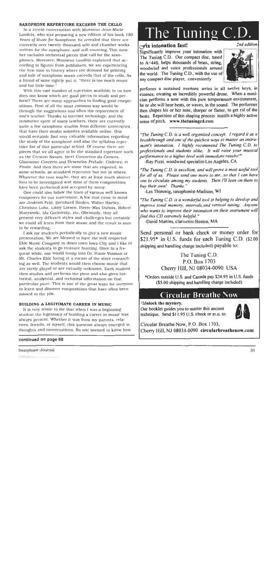#### SAXOPHONE REPERTOIRE EXCEEDS THE CELLO

In a recent conversation with Monsieur Jean-Marie Londeix, who was preparing a new edition of his book 150 Years of Music for Saxophone, he revealed that there are currently over twenty thousand solo and chamber works written for the saxophone, and still counting. This number excludes orchestral pieces that call for the saxophones. Moreover, Monsieur Londeix explained that according to figures from publishers, we are experiencing the first time in history where the demand for printing and sale of saxophone music exceeds that of the cello. As a friend of mine rightly put it. "there is too much music and too little time.'

With this vast number of repertoire available to us how does one know which are good pieces to study and perform? There are many approaches to finding good compositions. First of all the most common way would be through the suggestions and often the requirement of one's teacher. Thanks to internet technology, and the innovative spirit of many teachers, there are currently quite a few saxophone studios from different universities that have their studio websites available online. One would eertainly find very valuable information regarding the study of the saxophone and also the syllabus repertoire list of that particular school. Of course there are pieces that we all agree to be the standard repertoire such as the Creston Sonata, Ibert Concertino da Camera, Glazounov Concerto and Desenclos Prelude, Cadence, et Finale. And then there are some that are required, in some schools, as standard repertoire but not in others. Whatever the case maybe, they are at least much shorter lists to be investigated and most of these compositions have been performed and accepted by many.

One could also follow the trace of various well known composers for our instrument. A few that came to mind are Jindrich Feld, Bernhard Heiden, Walter Hartley, Christian Luba, Lihby Larsen, Pierre-Max Duhois, Robert Mucyznski, Ida Gotkovsky, etc. Obviously, they all present very different styles and challenges but certainly we could all learn from their music and the result is sure to be rewarding.

I ask my students periodically to give a new music presentation. We are blessed to have the well respected Eble Music Company in down town Iowa City and I like to ask the students to go treasure hunting. Once in a frequent while, one would bump into Dr. Himie Voxman or Mr. Charles Eble luring at a corner of the store researching as well. The students would then choose music that are rarely played or are virtually unknown. Each student then studies and performs the picce and also gives historical, analytical, and technical information on that particular piece. This is one of the great ways for everyone to learn and discover compositions that have often been missed in the pile.

#### BUILDING A LEGITIMATE CAREER IN MUSIC

It is very fronic to me that when I was a beginning student the legitimacy of building a career in music was always present. Whether it was from my parents, relatives, friends, or myself, this question always emerged in thoughts and conversations. No one seemed to know how

#### continued on page 68

# The Tuning C.D.

## $\sim$ ix intonation fast!

Significantly improve your intonation with The Tuning C.D. Our compact disc, tuned to A=440, helps thousands of brass, string, woodwind and voice professionals around the world. The Tuning C.D., with the use of any compact disc player, conveniently



2nd edition

performs a sustained overtone series in all twelve keys, in essence, creating an incredibly powerful drone. When a musician performs a note with this pure temperament environment, he or she will hear beats, or waves, in the sound. The performer then shapes his or her note, sharper or flatter, to get rid of the beats. Repetition of this shaping process instills a highly active sense of pitch. www.thetuninged.com

"The Tuning C.D. is a well organized concept. I regard it as a breakthrough and one of the quickest ways to master an instrument's intonation. I highly recommend The Tuning C.D. to professionals and students alike. It will raise your musical performance to a higher level with immediate results!"

-Ray Pizzi, woodwind specialist-Los Angeles, CA

"The Tuning C.D. is excellent, and will prove a most useful tool for all of us. Please send one more to me...so that I can have one to circulate among my students. Then I'll lean on them to buy their own! Thanks.

-Les Thimmig, saxophonist-Madison, WI

"The Tuning C.D. is a wonderful tool in helping to develop and improve tonal memory, intervals and vertical tuning. Anyone who wants to improve their intonation on their instrument will find this CD extremely helpful."

-David Martins, clarinetist-Boston, MA

Send personal or bank check or money order for \$21.95 $*$  in U.S. funds for each Tuning C.D.  $(52.00)$ shipping and handling charge included) payable to:

# The Tuning C.D. P.O. Box 1703 Cherry Hill, NJ 08034-0090 USA

\*Orders outside U.S. and Canada pay \$24,95 in U.S. funds (\$5.00 shipping and handling charge included)

# **Circular Breathe Now**

Unlock the mystery.

Our booklet guides you to master this ancient technique. Send \$11.95 U.S. check or m.o. to:



Circular Breathe Now, P.O. Box 1703, Cherry Hill, NJ 08034-0090 circularbreathenow.com